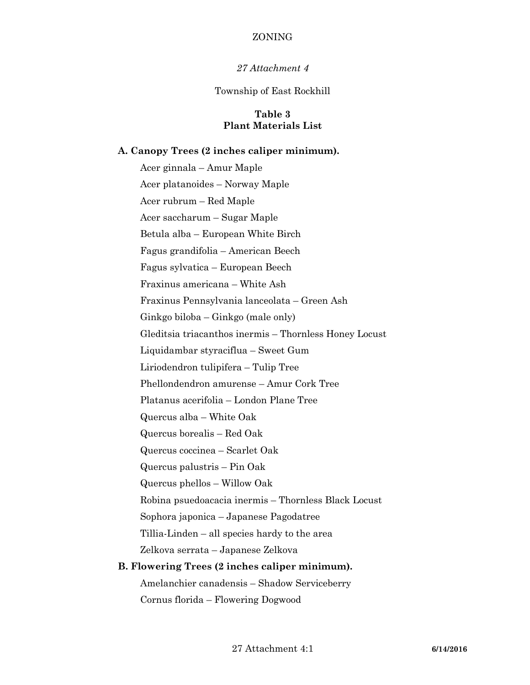## ZONING

### *27 Attachment 4*

#### Township of East Rockhill

## **Table 3 Plant Materials List**

#### **A. Canopy Trees (2 inches caliper minimum).**

Acer ginnala – Amur Maple Acer platanoides – Norway Maple Acer rubrum – Red Maple Acer saccharum – Sugar Maple Betula alba – European White Birch Fagus grandifolia – American Beech Fagus sylvatica – European Beech Fraxinus americana – White Ash Fraxinus Pennsylvania lanceolata – Green Ash Ginkgo biloba – Ginkgo (male only) Gleditsia triacanthos inermis – Thornless Honey Locust Liquidambar styraciflua – Sweet Gum Liriodendron tulipifera – Tulip Tree Phellondendron amurense – Amur Cork Tree Platanus acerifolia – London Plane Tree Quercus alba – White Oak Quercus borealis – Red Oak Quercus coccinea – Scarlet Oak Quercus palustris – Pin Oak Quercus phellos – Willow Oak Robina psuedoacacia inermis – Thornless Black Locust Sophora japonica – Japanese Pagodatree Tillia-Linden – all species hardy to the area Zelkova serrata – Japanese Zelkova **B. Flowering Trees (2 inches caliper minimum).**

Amelanchier canadensis – Shadow Serviceberry Cornus florida – Flowering Dogwood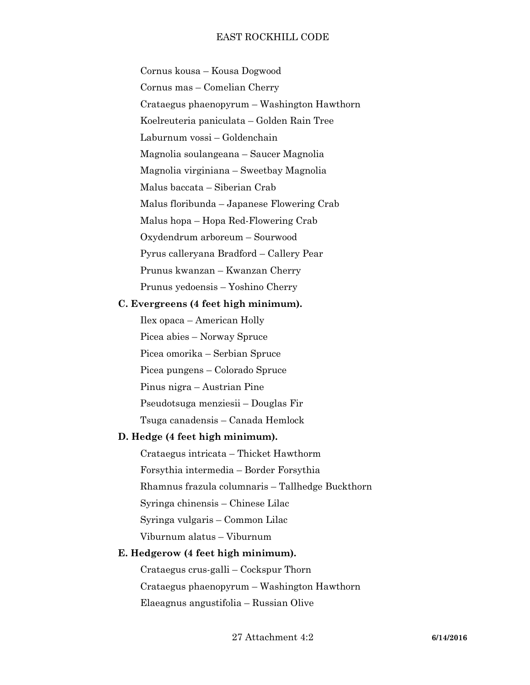Cornus kousa – Kousa Dogwood Cornus mas – Comelian Cherry Crataegus phaenopyrum – Washington Hawthorn Koelreuteria paniculata – Golden Rain Tree Laburnum vossi – Goldenchain Magnolia soulangeana – Saucer Magnolia Magnolia virginiana – Sweetbay Magnolia Malus baccata – Siberian Crab Malus floribunda – Japanese Flowering Crab Malus hopa – Hopa Red-Flowering Crab Oxydendrum arboreum – Sourwood Pyrus calleryana Bradford – Callery Pear Prunus kwanzan – Kwanzan Cherry Prunus yedoensis – Yoshino Cherry

### **C. Evergreens (4 feet high minimum).**

Ilex opaca – American Holly Picea abies – Norway Spruce Picea omorika – Serbian Spruce Picea pungens – Colorado Spruce Pinus nigra – Austrian Pine Pseudotsuga menziesii – Douglas Fir Tsuga canadensis – Canada Hemlock

## **D. Hedge (4 feet high minimum).**

Crataegus intricata – Thicket Hawthorm Forsythia intermedia – Border Forsythia Rhamnus frazula columnaris – Tallhedge Buckthorn Syringa chinensis – Chinese Lilac Syringa vulgaris – Common Lilac Viburnum alatus – Viburnum

## **E. Hedgerow (4 feet high minimum).**

Crataegus crus-galli – Cockspur Thorn Crataegus phaenopyrum – Washington Hawthorn Elaeagnus angustifolia – Russian Olive